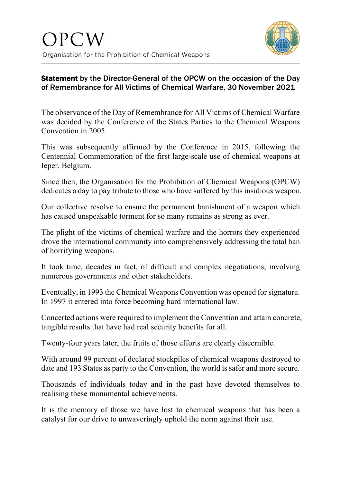

## Statement by the Director-General of the OPCW on the occasion of the Day of Remembrance for All Victims of Chemical Warfare, 30 November 2021

The observance of the Day of Remembrance for All Victims of Chemical Warfare was decided by the Conference of the States Parties to the Chemical Weapons Convention in 2005.

This was subsequently affirmed by the Conference in 2015, following the Centennial Commemoration of the first large-scale use of chemical weapons at Ieper, Belgium.

Since then, the Organisation for the Prohibition of Chemical Weapons (OPCW) dedicates a day to pay tribute to those who have suffered by this insidious weapon.

Our collective resolve to ensure the permanent banishment of a weapon which has caused unspeakable torment for so many remains as strong as ever.

The plight of the victims of chemical warfare and the horrors they experienced drove the international community into comprehensively addressing the total ban of horrifying weapons.

It took time, decades in fact, of difficult and complex negotiations, involving numerous governments and other stakeholders.

Eventually, in 1993 the Chemical Weapons Convention was opened for signature. In 1997 it entered into force becoming hard international law.

Concerted actions were required to implement the Convention and attain concrete, tangible results that have had real security benefits for all.

Twenty-four years later, the fruits of those efforts are clearly discernible.

With around 99 percent of declared stockpiles of chemical weapons destroyed to date and 193 States as party to the Convention, the world is safer and more secure.

Thousands of individuals today and in the past have devoted themselves to realising these monumental achievements.

It is the memory of those we have lost to chemical weapons that has been a catalyst for our drive to unwaveringly uphold the norm against their use.